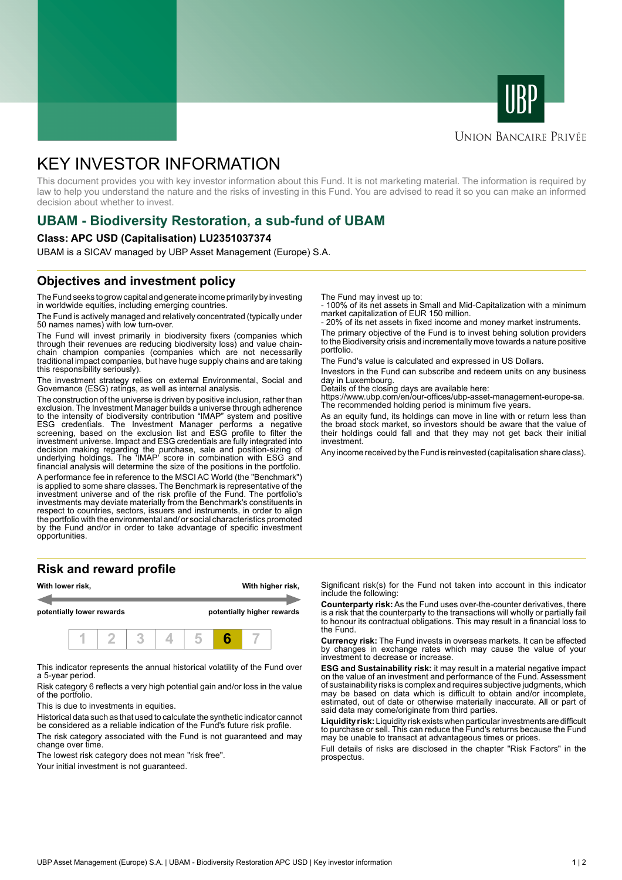



#### **UNION BANCAIRE PRIVÉE**

# KEY INVESTOR INFORMATION

This document provides you with key investor information about this Fund. It is not marketing material. The information is required by law to help you understand the nature and the risks of investing in this Fund. You are advised to read it so you can make an informed decision about whether to invest.

# **UBAM - Biodiversity Restoration, a sub-fund of UBAM**

#### **Class: APC USD (Capitalisation) LU2351037374**

UBAM is a SICAV managed by UBP Asset Management (Europe) S.A.

### **Objectives and investment policy**

The Fund seeks to grow capital and generate income primarily by investing in worldwide equities, including emerging countries.

The Fund is actively managed and relatively concentrated (typically under 50 names names) with low turn-over.

The Fund will invest primarily in biodiversity fixers (companies which through their revenues are reducing biodiversity loss) and value chainchain champion companies (companies which are not necessarily traditional impact companies, but have huge supply chains and are taking this responsibility seriously).

The investment strategy relies on external Environmental, Social and Governance (ESG) ratings, as well as internal analysis.

The construction of the universe is driven by positive inclusion, rather than exclusion. The Investment Manager builds a universe through adherence to the intensity of biodiversity contribution "IMAP" system and positive ESG credentials. The Investment Manager performs a negative screening, based on the exclusion list and ESG profile to filter the investment universe. Impact and ESG credentials are fully integrated into decision making regarding the purchase, sale and position-sizing of underlying holdings. The 'IMAP' score in combination with ESG and financial analysis will determine the size of the positions in the portfolio.

A performance fee in reference to the MSCI AC World (the "Benchmark") is applied to some share classes. The Benchmark is representative of the investment universe and of the risk profile of the Fund. The portfolio's investments may deviate materially from the Benchmark's constituents in respect to countries, sectors, issuers and instruments, in order to align the portfolio with the environmental and/ or social characteristics promoted by the Fund and/or in order to take advantage of specific investment opportunities.

#### **Risk and reward profile**



This indicator represents the annual historical volatility of the Fund over a 5-year period.

Risk category 6 reflects a very high potential gain and/or loss in the value of the portfolio.

This is due to investments in equities.

Historical data such as that used to calculate the synthetic indicator cannot be considered as a reliable indication of the Fund's future risk profile.

The risk category associated with the Fund is not guaranteed and may change over time.

The lowest risk category does not mean "risk free".

Your initial investment is not guaranteed.

The Fund may invest up to:

- 100% of its net assets in Small and Mid-Capitalization with a minimum market capitalization of EUR 150 million.

20% of its net assets in fixed income and money market instruments.

The primary objective of the Fund is to invest behing solution providers to the Biodiversity crisis and incrementally move towards a nature positive portfolio.

The Fund's value is calculated and expressed in US Dollars.

Investors in the Fund can subscribe and redeem units on any business day in Luxembourg.

Details of the closing days are available here:

https://www.ubp.com/en/our-offices/ubp-asset-management-europe-sa. The recommended holding period is minimum five years.

As an equity fund, its holdings can move in line with or return less than the broad stock market, so investors should be aware that the value of their holdings could fall and that they may not get back their initial investment.

Any income received by the Fund is reinvested (capitalisation share class).

Significant risk(s) for the Fund not taken into account in this indicator include the following:

**Counterparty risk:** As the Fund uses over-the-counter derivatives, there is a risk that the counterparty to the transactions will wholly or partially fail to honour its contractual obligations. This may result in a financial loss to the Fund.

**Currency risk:** The Fund invests in overseas markets. It can be affected by changes in exchange rates which may cause the value of your investment to decrease or increase.

**ESG and Sustainability risk:** it may result in a material negative impact on the value of an investment and performance of the Fund. Assessment of sustainability risks is complex and requires subjective judgments, which may be based on data which is difficult to obtain and/or incomplete, estimated, out of date or otherwise materially inaccurate. All or part of said data may come/originate from third parties.

**Liquidity risk:** Liquidity risk exists when particular investments are difficult to purchase or sell. This can reduce the Fund's returns because the Fund may be unable to transact at advantageous times or prices.

Full details of risks are disclosed in the chapter "Risk Factors" in the prospectus.